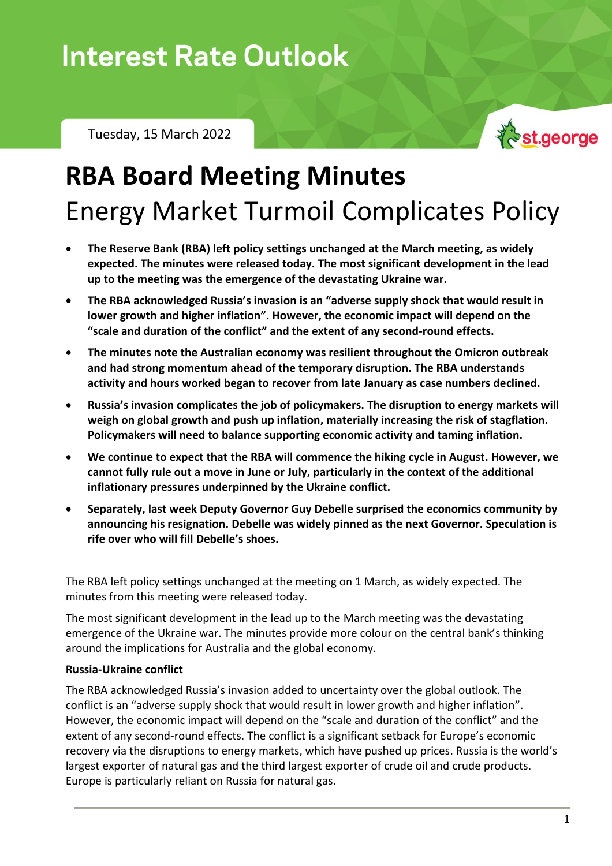## **Interest Rate Outlook**

Tuesday, 15 March 2022



# **RBA Board Meeting Minutes** Energy Market Turmoil Complicates Policy

- **The Reserve Bank (RBA) left policy settings unchanged at the March meeting, as widely expected. The minutes were released today. The most significant development in the lead up to the meeting was the emergence of the devastating Ukraine war.**
- **The RBA acknowledged Russia's invasion is an "adverse supply shock that would result in lower growth and higher inflation". However, the economic impact will depend on the "scale and duration of the conflict" and the extent of any second-round effects.**
- **The minutes note the Australian economy was resilient throughout the Omicron outbreak and had strong momentum ahead of the temporary disruption. The RBA understands activity and hours worked began to recover from late January as case numbers declined.**
- **Russia's invasion complicates the job of policymakers. The disruption to energy markets will weigh on global growth and push up inflation, materially increasing the risk of stagflation. Policymakers will need to balance supporting economic activity and taming inflation.**
- **We continue to expect that the RBA will commence the hiking cycle in August. However, we cannot fully rule out a move in June or July, particularly in the context of the additional inflationary pressures underpinned by the Ukraine conflict.**
- **Separately, last week Deputy Governor Guy Debelle surprised the economics community by announcing his resignation. Debelle was widely pinned as the next Governor. Speculation is rife over who will fill Debelle's shoes.**

The RBA left policy settings unchanged at the meeting on 1 March, as widely expected. The minutes from this meeting were released today.

The most significant development in the lead up to the March meeting was the devastating emergence of the Ukraine war. The minutes provide more colour on the central bank's thinking around the implications for Australia and the global economy.

#### **Russia-Ukraine conflict**

The RBA acknowledged Russia's invasion added to uncertainty over the global outlook. The conflict is an "adverse supply shock that would result in lower growth and higher inflation". However, the economic impact will depend on the "scale and duration of the conflict" and the extent of any second-round effects. The conflict is a significant setback for Europe's economic recovery via the disruptions to energy markets, which have pushed up prices. Russia is the world's largest exporter of natural gas and the third largest exporter of crude oil and crude products. Europe is particularly reliant on Russia for natural gas.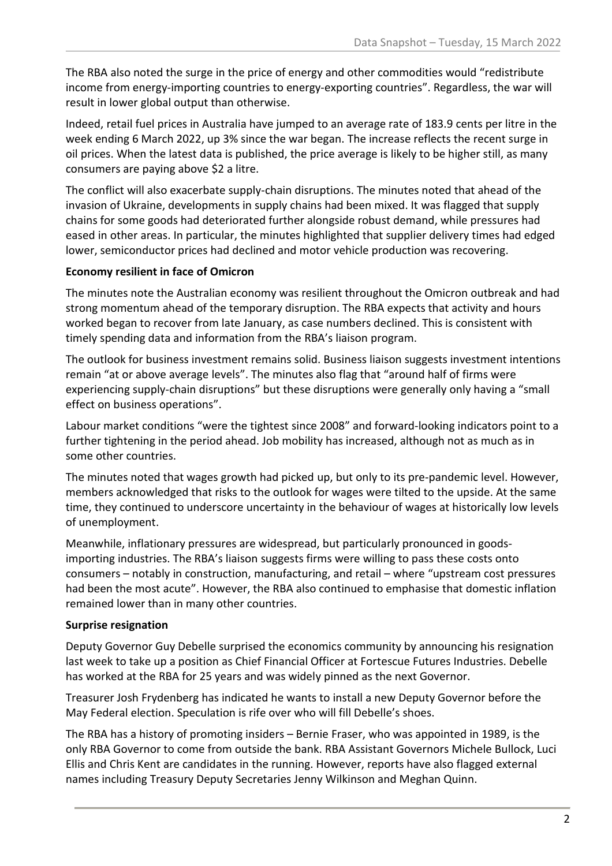The RBA also noted the surge in the price of energy and other commodities would "redistribute income from energy-importing countries to energy-exporting countries". Regardless, the war will result in lower global output than otherwise.

Indeed, retail fuel prices in Australia have jumped to an average rate of 183.9 cents per litre in the week ending 6 March 2022, up 3% since the war began. The increase reflects the recent surge in oil prices. When the latest data is published, the price average is likely to be higher still, as many consumers are paying above \$2 a litre.

The conflict will also exacerbate supply-chain disruptions. The minutes noted that ahead of the invasion of Ukraine, developments in supply chains had been mixed. It was flagged that supply chains for some goods had deteriorated further alongside robust demand, while pressures had eased in other areas. In particular, the minutes highlighted that supplier delivery times had edged lower, semiconductor prices had declined and motor vehicle production was recovering.

#### **Economy resilient in face of Omicron**

The minutes note the Australian economy was resilient throughout the Omicron outbreak and had strong momentum ahead of the temporary disruption. The RBA expects that activity and hours worked began to recover from late January, as case numbers declined. This is consistent with timely spending data and information from the RBA's liaison program.

The outlook for business investment remains solid. Business liaison suggests investment intentions remain "at or above average levels". The minutes also flag that "around half of firms were experiencing supply-chain disruptions" but these disruptions were generally only having a "small effect on business operations".

Labour market conditions "were the tightest since 2008" and forward-looking indicators point to a further tightening in the period ahead. Job mobility has increased, although not as much as in some other countries.

The minutes noted that wages growth had picked up, but only to its pre-pandemic level. However, members acknowledged that risks to the outlook for wages were tilted to the upside. At the same time, they continued to underscore uncertainty in the behaviour of wages at historically low levels of unemployment.

Meanwhile, inflationary pressures are widespread, but particularly pronounced in goodsimporting industries. The RBA's liaison suggests firms were willing to pass these costs onto consumers – notably in construction, manufacturing, and retail – where "upstream cost pressures had been the most acute". However, the RBA also continued to emphasise that domestic inflation remained lower than in many other countries.

#### **Surprise resignation**

Deputy Governor Guy Debelle surprised the economics community by announcing his resignation last week to take up a position as Chief Financial Officer at Fortescue Futures Industries. Debelle has worked at the RBA for 25 years and was widely pinned as the next Governor.

Treasurer Josh Frydenberg has indicated he wants to install a new Deputy Governor before the May Federal election. Speculation is rife over who will fill Debelle's shoes.

The RBA has a history of promoting insiders – Bernie Fraser, who was appointed in 1989, is the only RBA Governor to come from outside the bank. RBA Assistant Governors Michele Bullock, Luci Ellis and Chris Kent are candidates in the running. However, reports have also flagged external names including Treasury Deputy Secretaries Jenny Wilkinson and Meghan Quinn.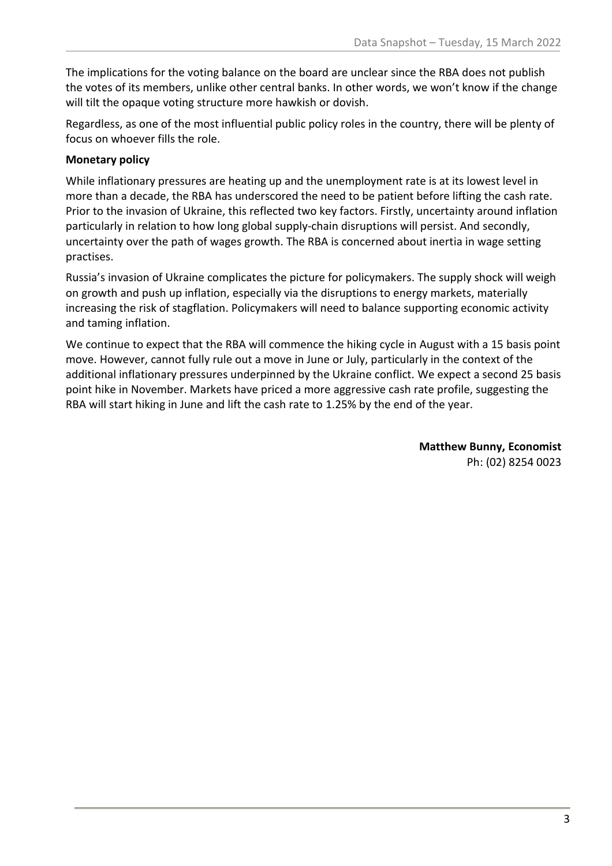The implications for the voting balance on the board are unclear since the RBA does not publish the votes of its members, unlike other central banks. In other words, we won't know if the change will tilt the opaque voting structure more hawkish or dovish.

Regardless, as one of the most influential public policy roles in the country, there will be plenty of focus on whoever fills the role.

### **Monetary policy**

While inflationary pressures are heating up and the unemployment rate is at its lowest level in more than a decade, the RBA has underscored the need to be patient before lifting the cash rate. Prior to the invasion of Ukraine, this reflected two key factors. Firstly, uncertainty around inflation particularly in relation to how long global supply-chain disruptions will persist. And secondly, uncertainty over the path of wages growth. The RBA is concerned about inertia in wage setting practises.

Russia's invasion of Ukraine complicates the picture for policymakers. The supply shock will weigh on growth and push up inflation, especially via the disruptions to energy markets, materially increasing the risk of stagflation. Policymakers will need to balance supporting economic activity and taming inflation.

We continue to expect that the RBA will commence the hiking cycle in August with a 15 basis point move. However, cannot fully rule out a move in June or July, particularly in the context of the additional inflationary pressures underpinned by the Ukraine conflict. We expect a second 25 basis point hike in November. Markets have priced a more aggressive cash rate profile, suggesting the RBA will start hiking in June and lift the cash rate to 1.25% by the end of the year.

> **Matthew Bunny, Economist** Ph: (02) 8254 0023